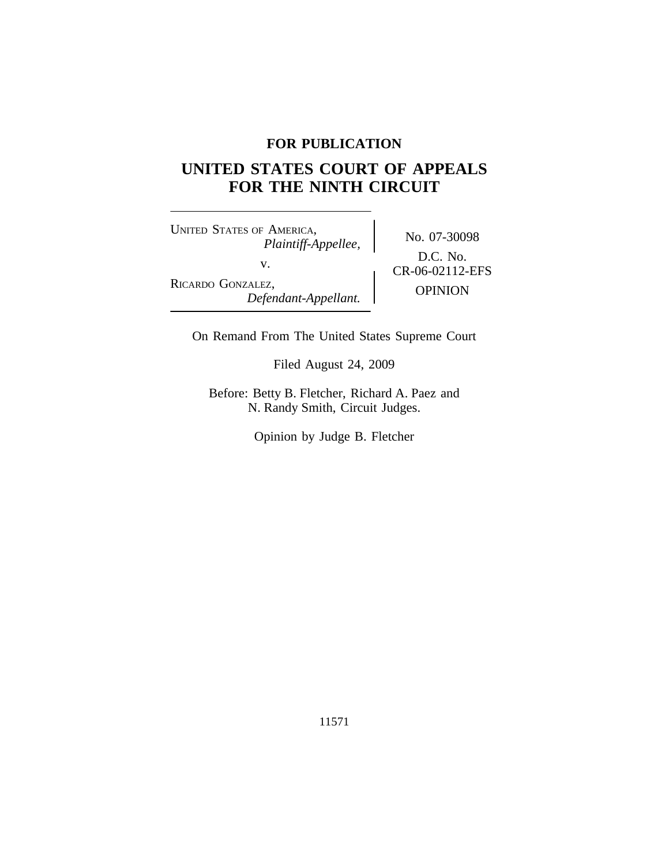## **FOR PUBLICATION**

# **UNITED STATES COURT OF APPEALS FOR THE NINTH CIRCUIT**

<sup>U</sup>NITED STATES OF AMERICA, No. 07-30098 *Plaintiff-Appellee,* v.  $C_{R-06-02112-EFS}$ RICARDO GONZALEZ, OPINION *Defendant-Appellant.*

D.C. No.

On Remand From The United States Supreme Court

Filed August 24, 2009

Before: Betty B. Fletcher, Richard A. Paez and N. Randy Smith, Circuit Judges.

Opinion by Judge B. Fletcher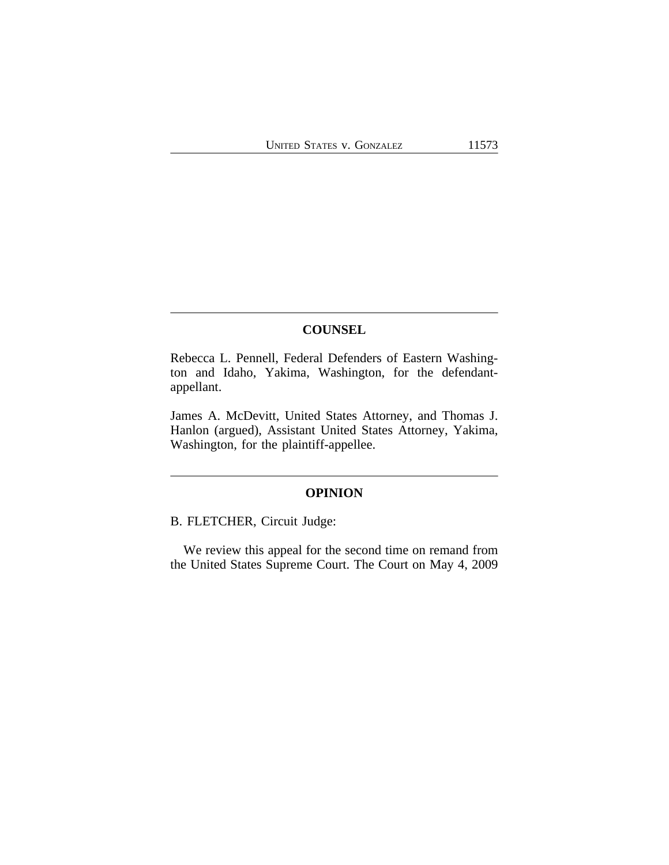#### **COUNSEL**

Rebecca L. Pennell, Federal Defenders of Eastern Washington and Idaho, Yakima, Washington, for the defendantappellant.

James A. McDevitt, United States Attorney, and Thomas J. Hanlon (argued), Assistant United States Attorney, Yakima, Washington, for the plaintiff-appellee.

### **OPINION**

B. FLETCHER, Circuit Judge:

We review this appeal for the second time on remand from the United States Supreme Court. The Court on May 4, 2009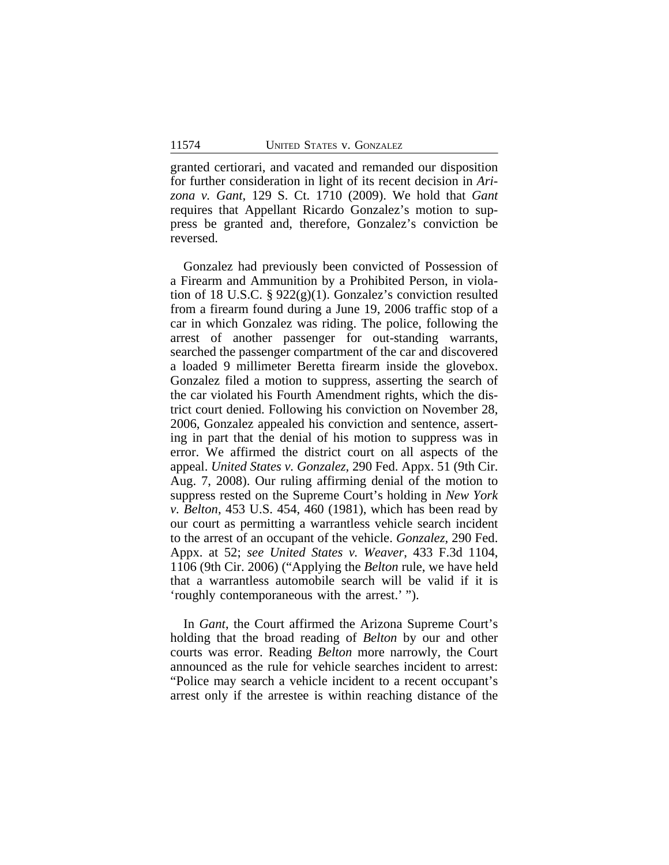granted certiorari, and vacated and remanded our disposition for further consideration in light of its recent decision in *Arizona v. Gant*, 129 S. Ct. 1710 (2009). We hold that *Gant* requires that Appellant Ricardo Gonzalez's motion to suppress be granted and, therefore, Gonzalez's conviction be reversed.

Gonzalez had previously been convicted of Possession of a Firearm and Ammunition by a Prohibited Person, in violation of 18 U.S.C. §  $922(g)(1)$ . Gonzalez's conviction resulted from a firearm found during a June 19, 2006 traffic stop of a car in which Gonzalez was riding. The police, following the arrest of another passenger for out-standing warrants, searched the passenger compartment of the car and discovered a loaded 9 millimeter Beretta firearm inside the glovebox. Gonzalez filed a motion to suppress, asserting the search of the car violated his Fourth Amendment rights, which the district court denied. Following his conviction on November 28, 2006, Gonzalez appealed his conviction and sentence, asserting in part that the denial of his motion to suppress was in error. We affirmed the district court on all aspects of the appeal. *United States v. Gonzalez,* 290 Fed. Appx. 51 (9th Cir. Aug. 7, 2008). Our ruling affirming denial of the motion to suppress rested on the Supreme Court's holding in *New York v. Belton*, 453 U.S. 454, 460 (1981), which has been read by our court as permitting a warrantless vehicle search incident to the arrest of an occupant of the vehicle. *Gonzalez,* 290 Fed. Appx. at 52; *see United States v. Weaver*, 433 F.3d 1104, 1106 (9th Cir. 2006) ("Applying the *Belton* rule, we have held that a warrantless automobile search will be valid if it is 'roughly contemporaneous with the arrest.' ").

In *Gant*, the Court affirmed the Arizona Supreme Court's holding that the broad reading of *Belton* by our and other courts was error. Reading *Belton* more narrowly, the Court announced as the rule for vehicle searches incident to arrest: "Police may search a vehicle incident to a recent occupant's arrest only if the arrestee is within reaching distance of the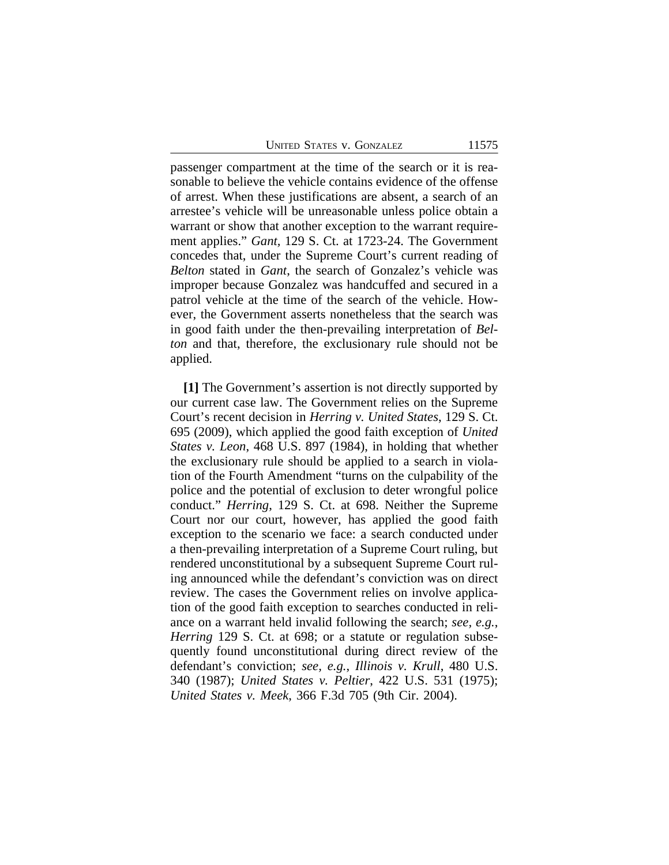UNITED STATES V. GONZALEZ 11575

passenger compartment at the time of the search or it is reasonable to believe the vehicle contains evidence of the offense of arrest. When these justifications are absent, a search of an arrestee's vehicle will be unreasonable unless police obtain a warrant or show that another exception to the warrant requirement applies." *Gant,* 129 S. Ct. at 1723-24. The Government concedes that, under the Supreme Court's current reading of *Belton* stated in *Gant*, the search of Gonzalez's vehicle was improper because Gonzalez was handcuffed and secured in a patrol vehicle at the time of the search of the vehicle. However, the Government asserts nonetheless that the search was in good faith under the then-prevailing interpretation of *Belton* and that, therefore, the exclusionary rule should not be applied.

**[1]** The Government's assertion is not directly supported by our current case law. The Government relies on the Supreme Court's recent decision in *Herring v. United States*, 129 S. Ct. 695 (2009), which applied the good faith exception of *United States v. Leon*, 468 U.S. 897 (1984), in holding that whether the exclusionary rule should be applied to a search in violation of the Fourth Amendment "turns on the culpability of the police and the potential of exclusion to deter wrongful police conduct." *Herring*, 129 S. Ct. at 698. Neither the Supreme Court nor our court, however, has applied the good faith exception to the scenario we face: a search conducted under a then-prevailing interpretation of a Supreme Court ruling, but rendered unconstitutional by a subsequent Supreme Court ruling announced while the defendant's conviction was on direct review. The cases the Government relies on involve application of the good faith exception to searches conducted in reliance on a warrant held invalid following the search; *see, e.g.*, *Herring* 129 S. Ct. at 698; or a statute or regulation subsequently found unconstitutional during direct review of the defendant's conviction; *see, e.g.*, *Illinois v. Krull*, 480 U.S. 340 (1987); *United States v. Peltier*, 422 U.S. 531 (1975); *United States v. Meek*, 366 F.3d 705 (9th Cir. 2004).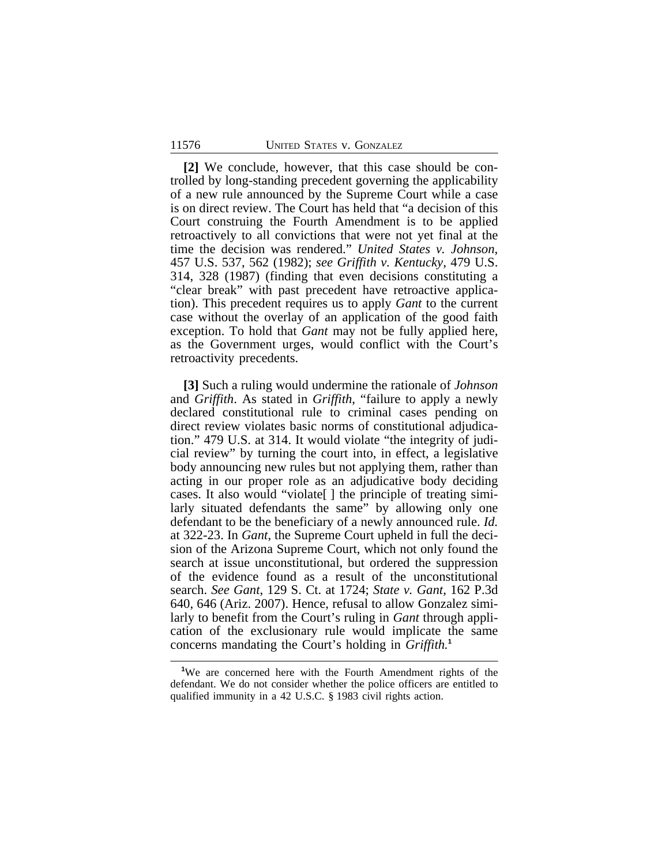**[2]** We conclude, however, that this case should be controlled by long-standing precedent governing the applicability of a new rule announced by the Supreme Court while a case is on direct review. The Court has held that "a decision of this Court construing the Fourth Amendment is to be applied retroactively to all convictions that were not yet final at the time the decision was rendered." *United States v. Johnson*, 457 U.S. 537, 562 (1982); *see Griffith v. Kentucky*, 479 U.S. 314, 328 (1987) (finding that even decisions constituting a "clear break" with past precedent have retroactive application). This precedent requires us to apply *Gant* to the current case without the overlay of an application of the good faith exception. To hold that *Gant* may not be fully applied here, as the Government urges, would conflict with the Court's retroactivity precedents.

**[3]** Such a ruling would undermine the rationale of *Johnson* and *Griffith*. As stated in *Griffith*, "failure to apply a newly declared constitutional rule to criminal cases pending on direct review violates basic norms of constitutional adjudication." 479 U.S. at 314. It would violate "the integrity of judicial review" by turning the court into, in effect, a legislative body announcing new rules but not applying them, rather than acting in our proper role as an adjudicative body deciding cases. It also would "violate[ ] the principle of treating similarly situated defendants the same" by allowing only one defendant to be the beneficiary of a newly announced rule. *Id.* at 322-23. In *Gant*, the Supreme Court upheld in full the decision of the Arizona Supreme Court, which not only found the search at issue unconstitutional, but ordered the suppression of the evidence found as a result of the unconstitutional search. *See Gant*, 129 S. Ct. at 1724; *State v. Gant*, 162 P.3d 640, 646 (Ariz. 2007). Hence, refusal to allow Gonzalez similarly to benefit from the Court's ruling in *Gant* through application of the exclusionary rule would implicate the same concerns mandating the Court's holding in *Griffith.***<sup>1</sup>**

**<sup>1</sup>**We are concerned here with the Fourth Amendment rights of the defendant. We do not consider whether the police officers are entitled to qualified immunity in a 42 U.S.C. § 1983 civil rights action.